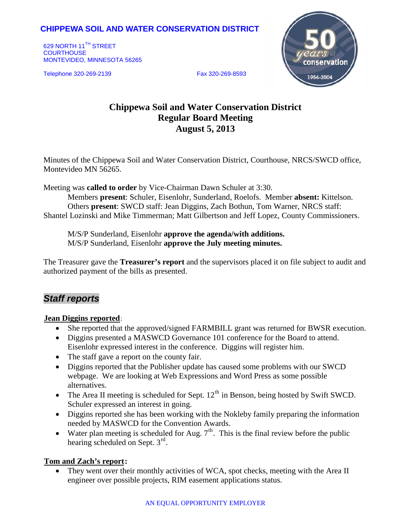## **CHIPPEWA SOIL AND WATER CONSERVATION DISTRICT**

629 NORTH 11<sup>TH</sup> STREET **COURTHOUSE** MONTEVIDEO, MINNESOTA 56265

Telephone 320-269-2139 Fax 320-269-8593



# **Chippewa Soil and Water Conservation District Regular Board Meeting August 5, 2013**

Minutes of the Chippewa Soil and Water Conservation District, Courthouse, NRCS/SWCD office, Montevideo MN 56265.

Meeting was **called to order** by Vice-Chairman Dawn Schuler at 3:30.

Members **present**: Schuler, Eisenlohr, Sunderland, Roelofs. Member **absent:** Kittelson. Others **present**: SWCD staff: Jean Diggins, Zach Bothun, Tom Warner, NRCS staff: Shantel Lozinski and Mike Timmerman; Matt Gilbertson and Jeff Lopez, County Commissioners.

M/S/P Sunderland, Eisenlohr **approve the agenda/with additions.** M/S/P Sunderland, Eisenlohr **approve the July meeting minutes.**

The Treasurer gave the **Treasurer's report** and the supervisors placed it on file subject to audit and authorized payment of the bills as presented.

## *Staff reports*

#### **Jean Diggins reported:**

- She reported that the approved/signed FARMBILL grant was returned for BWSR execution.
- Diggins presented a MASWCD Governance 101 conference for the Board to attend. Eisenlohr expressed interest in the conference. Diggins will register him.
- The staff gave a report on the county fair.
- Diggins reported that the Publisher update has caused some problems with our SWCD webpage. We are looking at Web Expressions and Word Press as some possible alternatives.
- The Area II meeting is scheduled for Sept.  $12^{th}$  in Benson, being hosted by Swift SWCD. Schuler expressed an interest in going.
- Diggins reported she has been working with the Nokleby family preparing the information needed by MASWCD for the Convention Awards.
- Water plan meeting is scheduled for Aug.  $7<sup>th</sup>$ . This is the final review before the public hearing scheduled on Sept.  $3<sup>rd</sup>$ .

### Tom and Zach's report:

• They went over their monthly activities of WCA, spot checks, meeting with the Area II engineer over possible projects, RIM easement applications status.